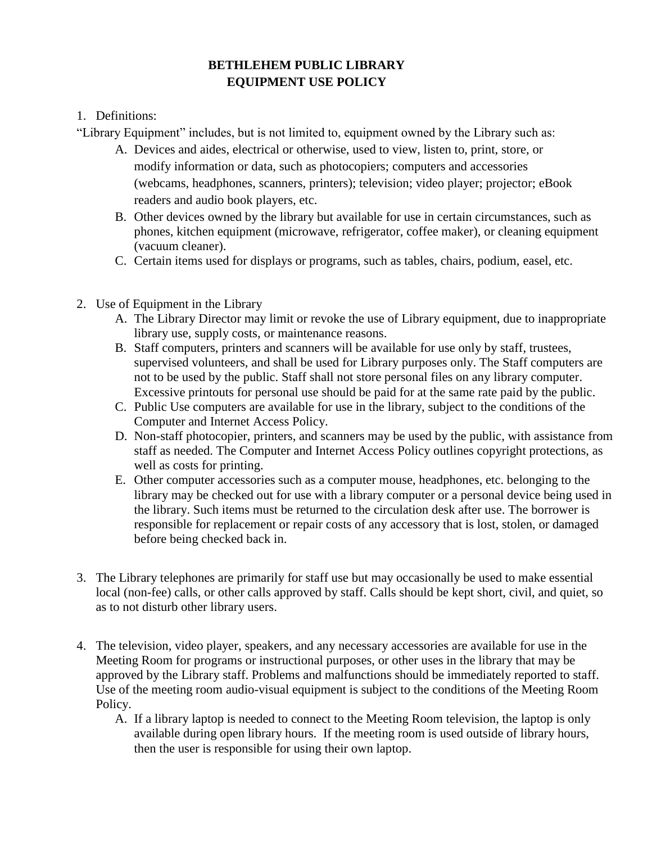## **BETHLEHEM PUBLIC LIBRARY EQUIPMENT USE POLICY**

## 1. Definitions:

"Library Equipment" includes, but is not limited to, equipment owned by the Library such as:

- A. Devices and aides, electrical or otherwise, used to view, listen to, print, store, or modify information or data, such as photocopiers; computers and accessories (webcams, headphones, scanners, printers); television; video player; projector; eBook readers and audio book players, etc.
- B. Other devices owned by the library but available for use in certain circumstances, such as phones, kitchen equipment (microwave, refrigerator, coffee maker), or cleaning equipment (vacuum cleaner).
- C. Certain items used for displays or programs, such as tables, chairs, podium, easel, etc.
- 2. Use of Equipment in the Library
	- A. The Library Director may limit or revoke the use of Library equipment, due to inappropriate library use, supply costs, or maintenance reasons.
	- B. Staff computers, printers and scanners will be available for use only by staff, trustees, supervised volunteers, and shall be used for Library purposes only. The Staff computers are not to be used by the public. Staff shall not store personal files on any library computer. Excessive printouts for personal use should be paid for at the same rate paid by the public.
	- C. Public Use computers are available for use in the library, subject to the conditions of the Computer and Internet Access Policy.
	- D. Non-staff photocopier, printers, and scanners may be used by the public, with assistance from staff as needed. The Computer and Internet Access Policy outlines copyright protections, as well as costs for printing.
	- E. Other computer accessories such as a computer mouse, headphones, etc. belonging to the library may be checked out for use with a library computer or a personal device being used in the library. Such items must be returned to the circulation desk after use. The borrower is responsible for replacement or repair costs of any accessory that is lost, stolen, or damaged before being checked back in.
- 3. The Library telephones are primarily for staff use but may occasionally be used to make essential local (non-fee) calls, or other calls approved by staff. Calls should be kept short, civil, and quiet, so as to not disturb other library users.
- 4. The television, video player, speakers, and any necessary accessories are available for use in the Meeting Room for programs or instructional purposes, or other uses in the library that may be approved by the Library staff. Problems and malfunctions should be immediately reported to staff. Use of the meeting room audio-visual equipment is subject to the conditions of the Meeting Room Policy.
	- A. If a library laptop is needed to connect to the Meeting Room television, the laptop is only available during open library hours. If the meeting room is used outside of library hours, then the user is responsible for using their own laptop.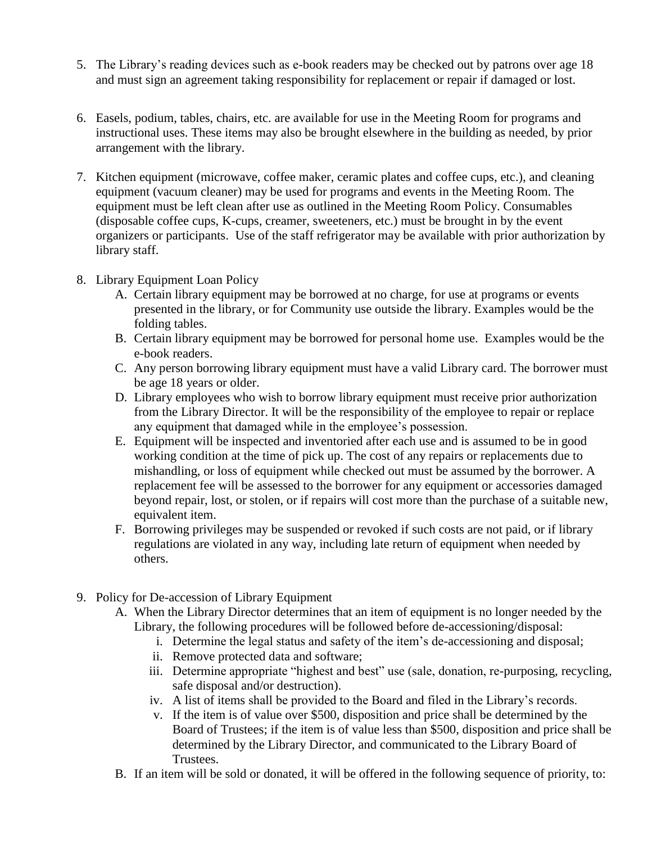- 5. The Library's reading devices such as e-book readers may be checked out by patrons over age 18 and must sign an agreement taking responsibility for replacement or repair if damaged or lost.
- 6. Easels, podium, tables, chairs, etc. are available for use in the Meeting Room for programs and instructional uses. These items may also be brought elsewhere in the building as needed, by prior arrangement with the library.
- 7. Kitchen equipment (microwave, coffee maker, ceramic plates and coffee cups, etc.), and cleaning equipment (vacuum cleaner) may be used for programs and events in the Meeting Room. The equipment must be left clean after use as outlined in the Meeting Room Policy. Consumables (disposable coffee cups, K-cups, creamer, sweeteners, etc.) must be brought in by the event organizers or participants. Use of the staff refrigerator may be available with prior authorization by library staff.
- 8. Library Equipment Loan Policy
	- A. Certain library equipment may be borrowed at no charge, for use at programs or events presented in the library, or for Community use outside the library. Examples would be the folding tables.
	- B. Certain library equipment may be borrowed for personal home use. Examples would be the e-book readers.
	- C. Any person borrowing library equipment must have a valid Library card. The borrower must be age 18 years or older.
	- D. Library employees who wish to borrow library equipment must receive prior authorization from the Library Director. It will be the responsibility of the employee to repair or replace any equipment that damaged while in the employee's possession.
	- E. Equipment will be inspected and inventoried after each use and is assumed to be in good working condition at the time of pick up. The cost of any repairs or replacements due to mishandling, or loss of equipment while checked out must be assumed by the borrower. A replacement fee will be assessed to the borrower for any equipment or accessories damaged beyond repair, lost, or stolen, or if repairs will cost more than the purchase of a suitable new, equivalent item.
	- F. Borrowing privileges may be suspended or revoked if such costs are not paid, or if library regulations are violated in any way, including late return of equipment when needed by others.
- 9. Policy for De-accession of Library Equipment
	- A. When the Library Director determines that an item of equipment is no longer needed by the Library, the following procedures will be followed before de-accessioning/disposal:
		- i. Determine the legal status and safety of the item's de-accessioning and disposal;
		- ii. Remove protected data and software;
		- iii. Determine appropriate "highest and best" use (sale, donation, re-purposing, recycling, safe disposal and/or destruction).
		- iv. A list of items shall be provided to the Board and filed in the Library's records.
		- v. If the item is of value over \$500, disposition and price shall be determined by the Board of Trustees; if the item is of value less than \$500, disposition and price shall be determined by the Library Director, and communicated to the Library Board of Trustees.
	- B. If an item will be sold or donated, it will be offered in the following sequence of priority, to: